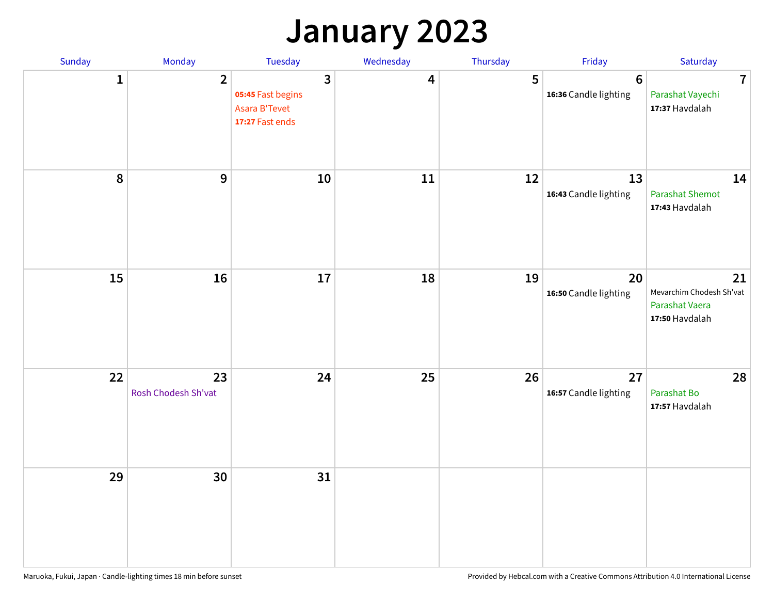## **January 2023**

| Sunday           | Monday                    | Tuesday                                                                                 | Wednesday | Thursday | Friday                                   | Saturday                                                           |
|------------------|---------------------------|-----------------------------------------------------------------------------------------|-----------|----------|------------------------------------------|--------------------------------------------------------------------|
| $\mathbf{1}$     | $\overline{2}$            | $\overline{\mathbf{3}}$<br>05:45 Fast begins<br><b>Asara B'Tevet</b><br>17:27 Fast ends | 4         | 5        | $6\phantom{1}6$<br>16:36 Candle lighting | $\overline{7}$<br>Parashat Vayechi<br>17:37 Havdalah               |
| $\boldsymbol{8}$ | $\mathbf{9}$              | 10                                                                                      | 11        | 12       | 13<br>16:43 Candle lighting              | 14<br><b>Parashat Shemot</b><br>17:43 Havdalah                     |
| 15               | 16                        | 17                                                                                      | 18        | 19       | 20<br>16:50 Candle lighting              | 21<br>Mevarchim Chodesh Sh'vat<br>Parashat Vaera<br>17:50 Havdalah |
| 22               | 23<br>Rosh Chodesh Sh'vat | 24                                                                                      | 25        | 26       | 27<br>16:57 Candle lighting              | 28<br>Parashat Bo<br>17:57 Havdalah                                |
| 29               | 30                        | 31                                                                                      |           |          |                                          |                                                                    |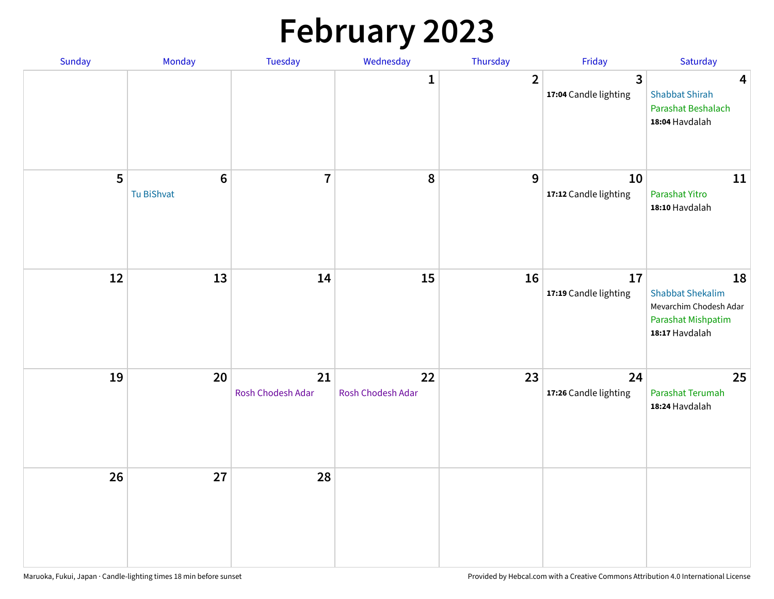# **February 2023**

| Sunday | Monday                        | Tuesday                 | Wednesday               | Thursday       | Friday                                  | Saturday                                                                                        |
|--------|-------------------------------|-------------------------|-------------------------|----------------|-----------------------------------------|-------------------------------------------------------------------------------------------------|
|        |                               |                         | 1                       | $\overline{2}$ | $\overline{3}$<br>17:04 Candle lighting | $\overline{\mathbf{4}}$<br><b>Shabbat Shirah</b><br>Parashat Beshalach<br>18:04 Havdalah        |
| 5      | $6\phantom{1}6$<br>Tu BiShvat | $\overline{7}$          | 8                       | 9              | 10<br>17:12 Candle lighting             | 11<br>Parashat Yitro<br>18:10 Havdalah                                                          |
| 12     | 13                            | 14                      | 15                      | 16             | 17<br>17:19 Candle lighting             | 18<br><b>Shabbat Shekalim</b><br>Mevarchim Chodesh Adar<br>Parashat Mishpatim<br>18:17 Havdalah |
| 19     | 20                            | 21<br>Rosh Chodesh Adar | 22<br>Rosh Chodesh Adar | 23             | 24<br>17:26 Candle lighting             | 25<br>Parashat Terumah<br>18:24 Havdalah                                                        |
| 26     | 27                            | 28                      |                         |                |                                         |                                                                                                 |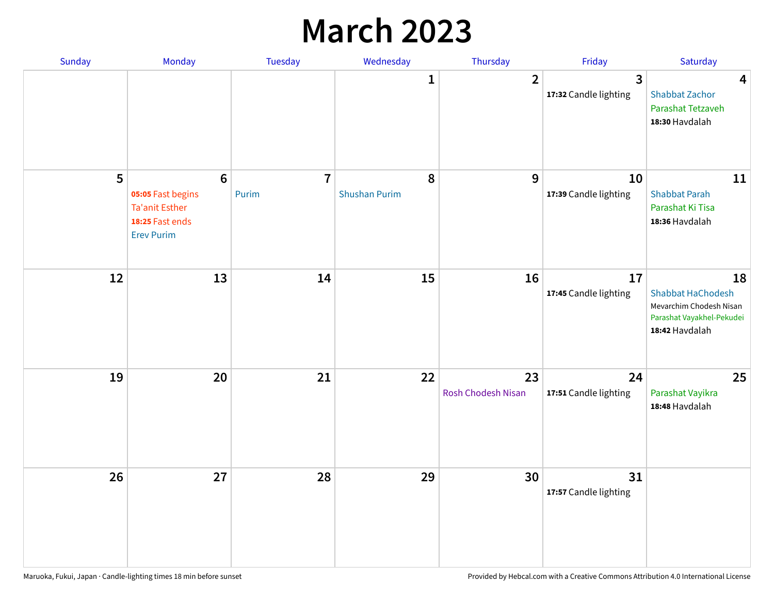## **March 2023**

| Sunday | Monday                                                                                                | Tuesday                 | Wednesday                 | Thursday                 | Friday                      | Saturday                                                                                                 |
|--------|-------------------------------------------------------------------------------------------------------|-------------------------|---------------------------|--------------------------|-----------------------------|----------------------------------------------------------------------------------------------------------|
|        |                                                                                                       |                         | 1                         | $\overline{2}$           | 3<br>17:32 Candle lighting  | $\overline{\mathbf{4}}$<br><b>Shabbat Zachor</b><br>Parashat Tetzaveh<br>18:30 Havdalah                  |
| 5      | $6\phantom{1}6$<br>05:05 Fast begins<br><b>Ta'anit Esther</b><br>18:25 Fast ends<br><b>Erev Purim</b> | $\overline{7}$<br>Purim | 8<br><b>Shushan Purim</b> | 9                        | 10<br>17:39 Candle lighting | 11<br><b>Shabbat Parah</b><br>Parashat Ki Tisa<br>18:36 Havdalah                                         |
| 12     | 13                                                                                                    | 14                      | 15                        | 16                       | 17<br>17:45 Candle lighting | 18<br><b>Shabbat HaChodesh</b><br>Mevarchim Chodesh Nisan<br>Parashat Vayakhel-Pekudei<br>18:42 Havdalah |
| 19     | 20                                                                                                    | 21                      | 22                        | 23<br>Rosh Chodesh Nisan | 24<br>17:51 Candle lighting | 25<br>Parashat Vayikra<br>18:48 Havdalah                                                                 |
| 26     | 27                                                                                                    | 28                      | 29                        | 30                       | 31<br>17:57 Candle lighting |                                                                                                          |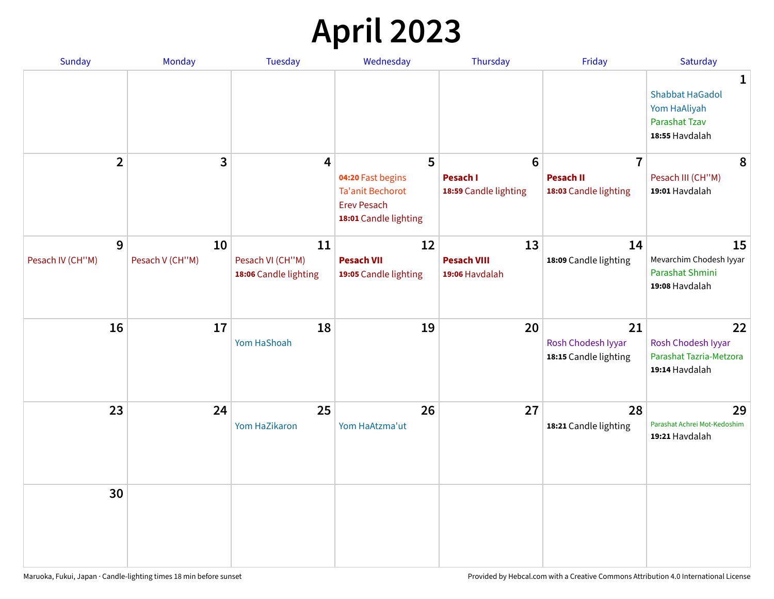# **April 2023**

| <b>Sunday</b>         | Monday                | <b>Tuesday</b>                                  | Wednesday                                                                                   | Thursday                                   | Friday                                            | Saturday                                                                              |
|-----------------------|-----------------------|-------------------------------------------------|---------------------------------------------------------------------------------------------|--------------------------------------------|---------------------------------------------------|---------------------------------------------------------------------------------------|
|                       |                       |                                                 |                                                                                             |                                            |                                                   | 1<br><b>Shabbat HaGadol</b><br>Yom HaAliyah<br><b>Parashat Tzav</b><br>18:55 Havdalah |
| $\overline{2}$        | 3                     | 4                                               | 5                                                                                           | $6\phantom{1}6$                            | $\overline{7}$                                    | 8                                                                                     |
|                       |                       |                                                 | 04:20 Fast begins<br><b>Ta'anit Bechorot</b><br><b>Erev Pesach</b><br>18:01 Candle lighting | <b>Pesach I</b><br>18:59 Candle lighting   | <b>Pesach II</b><br>18:03 Candle lighting         | Pesach III (CH"M)<br>19:01 Havdalah                                                   |
| 9<br>Pesach IV (CH"M) | 10<br>Pesach V (CH"M) | 11<br>Pesach VI (CH"M)<br>18:06 Candle lighting | 12<br><b>Pesach VII</b><br>19:05 Candle lighting                                            | 13<br><b>Pesach VIII</b><br>19:06 Havdalah | 14<br>18:09 Candle lighting                       | 15<br>Mevarchim Chodesh Iyyar<br>Parashat Shmini<br>19:08 Havdalah                    |
| 16                    | 17                    | 18<br>Yom HaShoah                               | 19                                                                                          | 20                                         | 21<br>Rosh Chodesh Iyyar<br>18:15 Candle lighting | 22<br>Rosh Chodesh Iyyar<br>Parashat Tazria-Metzora<br>19:14 Havdalah                 |
| 23                    | 24                    | 25<br>Yom HaZikaron                             | 26<br>Yom HaAtzma'ut                                                                        | 27                                         | 28<br>18:21 Candle lighting                       | 29<br>Parashat Achrei Mot-Kedoshim<br>19:21 Havdalah                                  |
| 30                    |                       |                                                 |                                                                                             |                                            |                                                   |                                                                                       |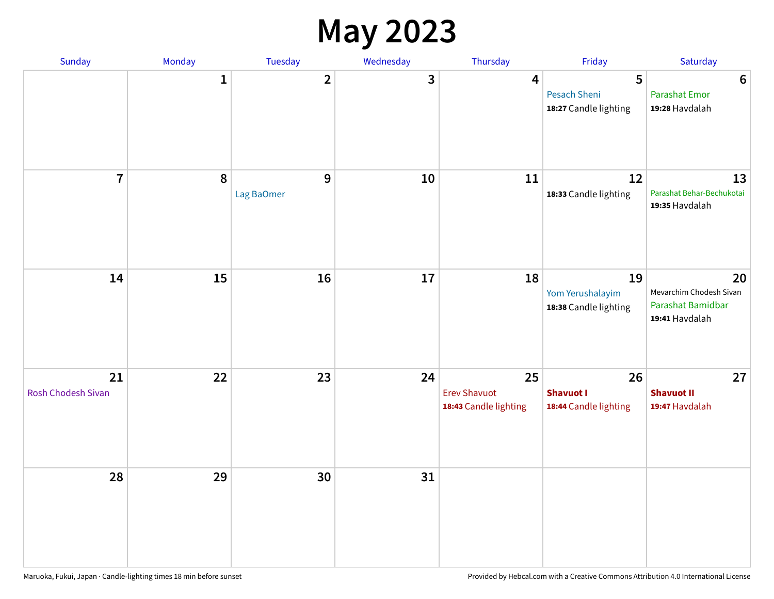#### **May 2023**

| <b>Sunday</b>            | Monday      | Tuesday         | Wednesday | Thursday                                           | Friday                                          | Saturday                                                             |
|--------------------------|-------------|-----------------|-----------|----------------------------------------------------|-------------------------------------------------|----------------------------------------------------------------------|
|                          | $\mathbf 1$ | $\mathbf{2}$    | 3         | 4                                                  | 5<br>Pesach Sheni<br>18:27 Candle lighting      | $\boldsymbol{6}$<br><b>Parashat Emor</b><br>19:28 Havdalah           |
| $\overline{7}$           | $\pmb{8}$   | 9<br>Lag BaOmer | 10        | 11                                                 | 12<br>18:33 Candle lighting                     | 13<br>Parashat Behar-Bechukotai<br>19:35 Havdalah                    |
| 14                       | 15          | 16              | 17        | 18                                                 | 19<br>Yom Yerushalayim<br>18:38 Candle lighting | 20<br>Mevarchim Chodesh Sivan<br>Parashat Bamidbar<br>19:41 Havdalah |
| 21<br>Rosh Chodesh Sivan | 22          | 23              | 24        | 25<br><b>Erev Shavuot</b><br>18:43 Candle lighting | 26<br><b>Shavuot I</b><br>18:44 Candle lighting | 27<br><b>Shavuot II</b><br>19:47 Havdalah                            |
| 28                       | 29          | 30              | 31        |                                                    |                                                 |                                                                      |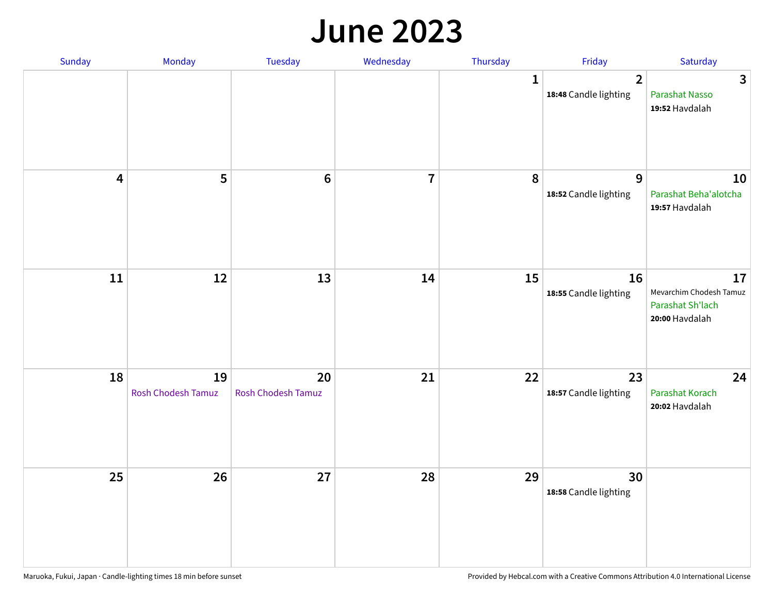#### **June 2023**

| Sunday                  | Monday                   | Tuesday                         | Wednesday               | Thursday | Friday                                  | Saturday                                                            |
|-------------------------|--------------------------|---------------------------------|-------------------------|----------|-----------------------------------------|---------------------------------------------------------------------|
|                         |                          |                                 |                         | 1        | $\overline{2}$<br>18:48 Candle lighting | $\mathbf{3}$<br>Parashat Nasso<br>19:52 Havdalah                    |
| $\overline{\mathbf{4}}$ | 5                        | $6\phantom{1}6$                 | $\overline{\mathbf{r}}$ | 8        | $\mathbf{9}$<br>18:52 Candle lighting   | 10<br>Parashat Beha'alotcha<br>19:57 Havdalah                       |
| 11                      | $12\,$                   | 13                              | 14                      | 15       | 16<br>18:55 Candle lighting             | 17<br>Mevarchim Chodesh Tamuz<br>Parashat Sh'lach<br>20:00 Havdalah |
| 18                      | 19<br>Rosh Chodesh Tamuz | 20<br><b>Rosh Chodesh Tamuz</b> | 21                      | 22       | 23<br>18:57 Candle lighting             | 24<br>Parashat Korach<br>20:02 Havdalah                             |
| 25                      | 26                       | 27                              | 28                      | 29       | 30<br>18:58 Candle lighting             |                                                                     |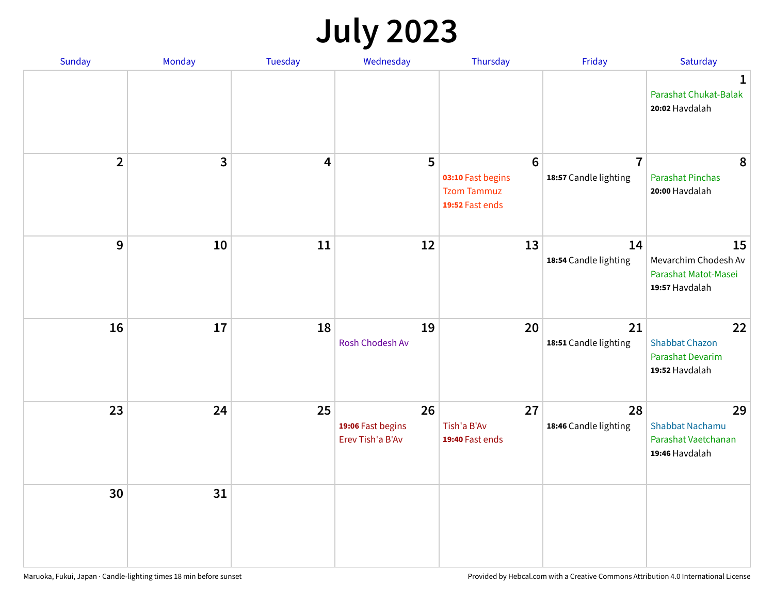# **July 2023**

| Sunday         | Monday       | <b>Tuesday</b>          | Wednesday                                   | Thursday                                                                      | Friday                                  | Saturday                                                              |
|----------------|--------------|-------------------------|---------------------------------------------|-------------------------------------------------------------------------------|-----------------------------------------|-----------------------------------------------------------------------|
|                |              |                         |                                             |                                                                               |                                         | $\mathbf 1$<br>Parashat Chukat-Balak<br>20:02 Havdalah                |
| $\overline{2}$ | $\mathbf{3}$ | $\overline{\mathbf{4}}$ | 5                                           | $6\phantom{1}6$<br>03:10 Fast begins<br><b>Tzom Tammuz</b><br>19:52 Fast ends | $\overline{7}$<br>18:57 Candle lighting | 8<br><b>Parashat Pinchas</b><br>20:00 Havdalah                        |
| 9              | 10           | 11                      | 12                                          | 13                                                                            | 14<br>18:54 Candle lighting             | 15<br>Mevarchim Chodesh Av<br>Parashat Matot-Masei<br>19:57 Havdalah  |
| 16             | 17           | 18                      | 19<br>Rosh Chodesh Av                       | 20                                                                            | 21<br>18:51 Candle lighting             | 22<br><b>Shabbat Chazon</b><br>Parashat Devarim<br>19:52 Havdalah     |
| 23             | 24           | 25                      | 26<br>19:06 Fast begins<br>Erev Tish'a B'Av | 27<br>Tish'a B'Av<br>19:40 Fast ends                                          | 28<br>18:46 Candle lighting             | 29<br><b>Shabbat Nachamu</b><br>Parashat Vaetchanan<br>19:46 Havdalah |
| 30             | 31           |                         |                                             |                                                                               |                                         |                                                                       |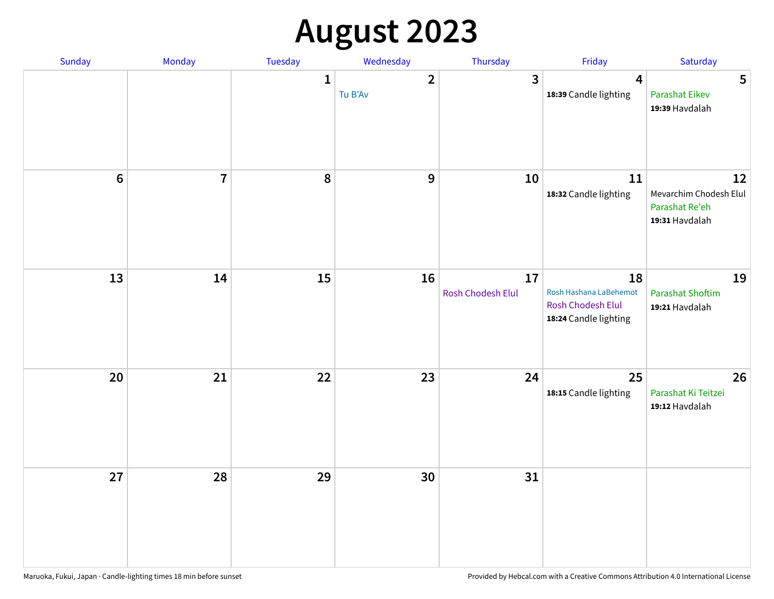# **August 2023**

| Sunday         | Monday         | Tuesday      | Wednesday                 | Thursday                | Friday                                                                            | Saturday                                                         |
|----------------|----------------|--------------|---------------------------|-------------------------|-----------------------------------------------------------------------------------|------------------------------------------------------------------|
|                |                | $\mathbf{1}$ | $\overline{2}$<br>Tu B'Av | $\mathbf{3}$            | $\overline{\mathbf{4}}$<br>18:39 Candle lighting                                  | 5<br>Parashat Eikev<br>19:39 Havdalah                            |
| $6\phantom{a}$ | $\overline{7}$ | 8            | $\boldsymbol{9}$          | 10                      | 11<br>18:32 Candle lighting                                                       | 12<br>Mevarchim Chodesh Elul<br>Parashat Re'eh<br>19:31 Havdalah |
| 13             | 14             | 15           | 16                        | 17<br>Rosh Chodesh Elul | 18<br>Rosh Hashana LaBehemot<br><b>Rosh Chodesh Elul</b><br>18:24 Candle lighting | 19<br><b>Parashat Shoftim</b><br>19:21 Havdalah                  |
| 20             | 21             | 22           | 23                        | 24                      | 25<br>18:15 Candle lighting                                                       | 26<br>Parashat Ki Teitzei<br>19:12 Havdalah                      |
| 27             | 28             | 29           | 30                        | 31                      |                                                                                   |                                                                  |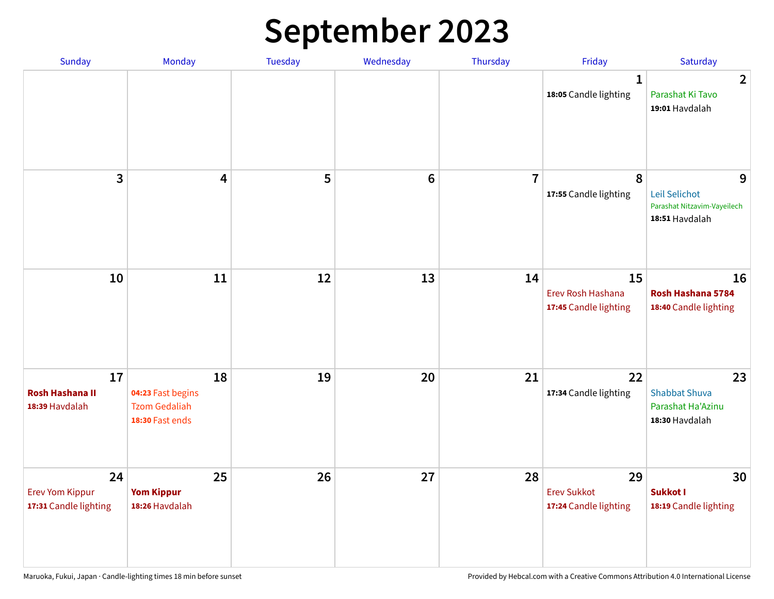# **September 2023**

| Sunday                                                | Monday                                                             | Tuesday | Wednesday       | Thursday       | Friday                                            | Saturday                                                            |
|-------------------------------------------------------|--------------------------------------------------------------------|---------|-----------------|----------------|---------------------------------------------------|---------------------------------------------------------------------|
|                                                       |                                                                    |         |                 |                | 1<br>18:05 Candle lighting                        | $\overline{2}$<br>Parashat Ki Tavo<br>19:01 Havdalah                |
| 3                                                     | $\overline{\mathbf{4}}$                                            | 5       | $6\phantom{1}6$ | $\overline{7}$ | 8<br>17:55 Candle lighting                        | 9<br>Leil Selichot<br>Parashat Nitzavim-Vayeilech<br>18:51 Havdalah |
| 10                                                    | 11                                                                 | 12      | 13              | 14             | 15<br>Erev Rosh Hashana<br>17:45 Candle lighting  | 16<br>Rosh Hashana 5784<br>18:40 Candle lighting                    |
| 17<br><b>Rosh Hashana II</b><br>18:39 Havdalah        | 18<br>04:23 Fast begins<br><b>Tzom Gedaliah</b><br>18:30 Fast ends | 19      | 20              | 21             | 22<br>17:34 Candle lighting                       | 23<br><b>Shabbat Shuva</b><br>Parashat Ha'Azinu<br>18:30 Havdalah   |
| 24<br><b>Erev Yom Kippur</b><br>17:31 Candle lighting | 25<br><b>Yom Kippur</b><br>18:26 Havdalah                          | 26      | 27              | 28             | 29<br><b>Erev Sukkot</b><br>17:24 Candle lighting | 30<br>Sukkot I<br>18:19 Candle lighting                             |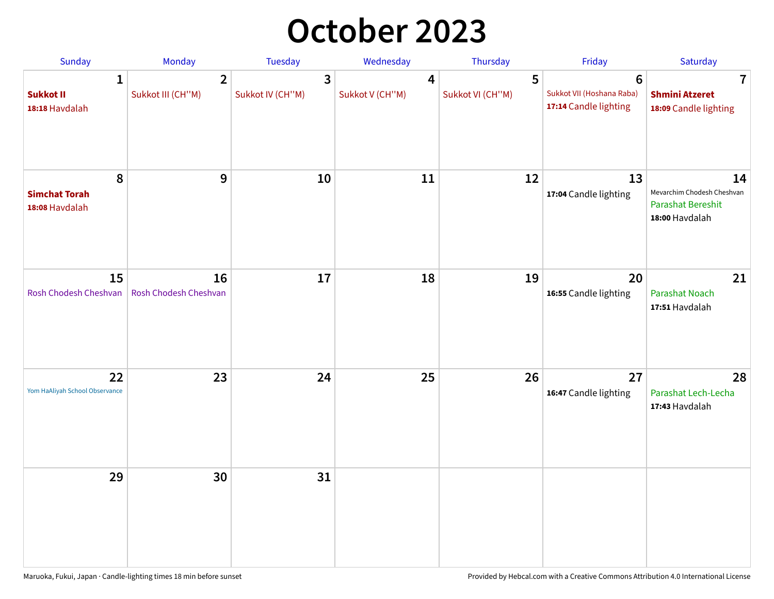## **October 2023**

| Sunday                                             | Monday                              | <b>Tuesday</b>        | Wednesday                         | Thursday              | Friday                                                               | Saturday                                                                       |
|----------------------------------------------------|-------------------------------------|-----------------------|-----------------------------------|-----------------------|----------------------------------------------------------------------|--------------------------------------------------------------------------------|
| $\mathbf{1}$<br><b>Sukkot II</b><br>18:18 Havdalah | $\overline{2}$<br>Sukkot III (CH"M) | 3<br>Sukkot IV (CH"M) | $\overline{4}$<br>Sukkot V (CH"M) | 5<br>Sukkot VI (CH"M) | $6\phantom{1}$<br>Sukkot VII (Hoshana Raba)<br>17:14 Candle lighting | $\overline{\mathbf{7}}$<br><b>Shmini Atzeret</b><br>18:09 Candle lighting      |
| 8<br><b>Simchat Torah</b><br>18:08 Havdalah        | 9                                   | 10                    | 11                                | 12                    | 13<br>17:04 Candle lighting                                          | 14<br>Mevarchim Chodesh Cheshvan<br><b>Parashat Bereshit</b><br>18:00 Havdalah |
| 15<br>Rosh Chodesh Cheshvan                        | 16<br>Rosh Chodesh Cheshvan         | 17                    | 18                                | 19                    | 20<br>16:55 Candle lighting                                          | 21<br>Parashat Noach<br>17:51 Havdalah                                         |
| 22<br>Yom HaAliyah School Observance               | 23                                  | 24                    | 25                                | 26                    | 27<br>16:47 Candle lighting                                          | 28<br>Parashat Lech-Lecha<br>17:43 Havdalah                                    |
| 29                                                 | 30                                  | 31                    |                                   |                       |                                                                      |                                                                                |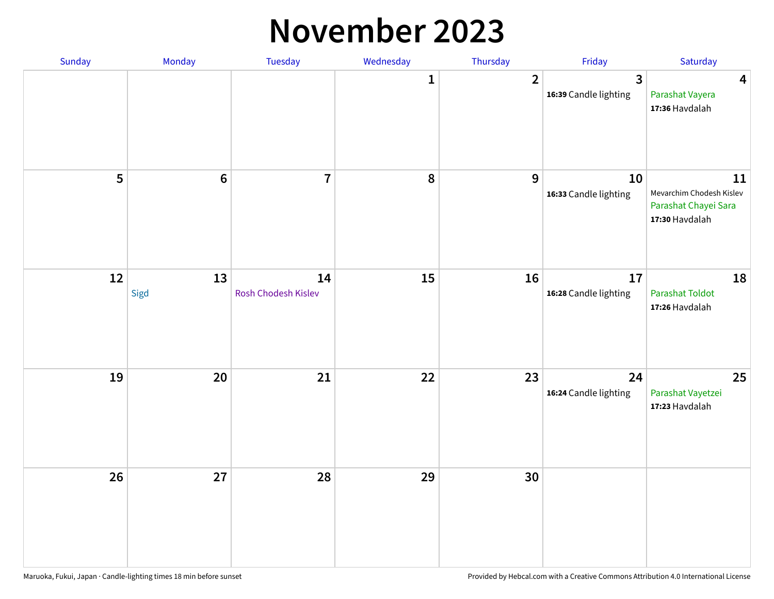#### **November 2023**

| Sunday | Monday          | Tuesday                   | Wednesday    | Thursday       | Friday                      | Saturday                                                                 |
|--------|-----------------|---------------------------|--------------|----------------|-----------------------------|--------------------------------------------------------------------------|
|        |                 |                           | $\mathbf{1}$ | $\overline{2}$ | 3<br>16:39 Candle lighting  | $\overline{\mathbf{4}}$<br>Parashat Vayera<br>17:36 Havdalah             |
| 5      | $6\phantom{1}6$ | $\overline{\mathbf{7}}$   | 8            | 9              | 10<br>16:33 Candle lighting | 11<br>Mevarchim Chodesh Kislev<br>Parashat Chayei Sara<br>17:30 Havdalah |
| 12     | 13<br>Sigd      | 14<br>Rosh Chodesh Kislev | 15           | 16             | 17<br>16:28 Candle lighting | 18<br><b>Parashat Toldot</b><br>17:26 Havdalah                           |
| 19     | 20              | 21                        | 22           | 23             | 24<br>16:24 Candle lighting | 25<br>Parashat Vayetzei<br>17:23 Havdalah                                |
| 26     | 27              | 28                        | 29           | 30             |                             |                                                                          |